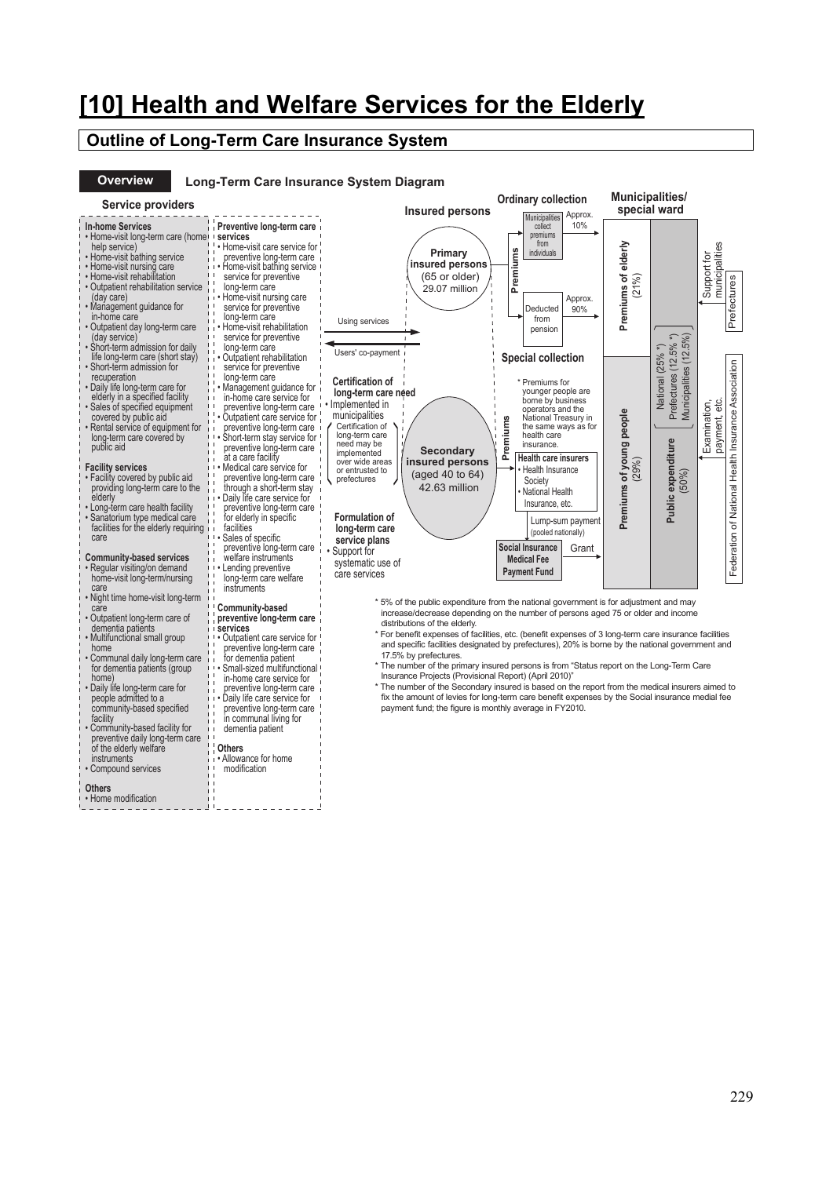# **[10] Health and Welfare Services for the Elderly**

## **Outline of Long-Term Care Insurance System**

• Outpatient care service for preventive long-term care for dementia patient • Small-sized multifunctional in-home care service for preventive long-term care • Daily life care service for preventive long-term care in communal living for dementia patient

**Others** 

• Allowance for home modification

## **Overview**

home • Communal daily long-term care for dementia patients (group

home) • Daily life long-term care for people admitted to a community-based specified

facility • Community-based facility for preventive daily long-term care of the elderly welfare

instruments • Compound services

**Others**  • Home modification

#### **Long-Term Care Insurance System Diagram**

| Service providers |
|-------------------|
|                   |

| <b>Service providers</b>                                                                                                                                                                                                                                                                                                                                                                                                                                                                                                            |                                                                                                                                                                                                                                                                                                                                                                                                                                                                                                                                                          | <b>Insured persons</b>                                                                                                                                                                                                                                                                                                                                                  | <b>Ordinary collection</b><br>Approx.<br>Municipalities                                                                                                                                                                                                                                                                                                                            | <b>Municipalities/</b><br>special ward |                                                                                                           |                                  |                                                     |
|-------------------------------------------------------------------------------------------------------------------------------------------------------------------------------------------------------------------------------------------------------------------------------------------------------------------------------------------------------------------------------------------------------------------------------------------------------------------------------------------------------------------------------------|----------------------------------------------------------------------------------------------------------------------------------------------------------------------------------------------------------------------------------------------------------------------------------------------------------------------------------------------------------------------------------------------------------------------------------------------------------------------------------------------------------------------------------------------------------|-------------------------------------------------------------------------------------------------------------------------------------------------------------------------------------------------------------------------------------------------------------------------------------------------------------------------------------------------------------------------|------------------------------------------------------------------------------------------------------------------------------------------------------------------------------------------------------------------------------------------------------------------------------------------------------------------------------------------------------------------------------------|----------------------------------------|-----------------------------------------------------------------------------------------------------------|----------------------------------|-----------------------------------------------------|
| <b>In-home Services</b><br>. Home-visit long-term care (home)<br>help service)<br>• Home-visit bathing service<br>• Home-visit nursing care<br>• Home-visit rehabilitation<br>• Outpatient rehabilitation service<br>(day care)<br>• Management guidance for<br>in-home care<br>· Outpatient day long-term care<br>(day service)<br>. Short-term admission for daily                                                                                                                                                                | Preventive long-term care<br>services<br>• Home-visit care service for<br>preventive long-term care<br>Home-visit bathing service<br>service for preventive<br>long-term care<br>• Home-visit nursing care<br>service for preventive<br>long-term care<br>• Home-visit rehabilitation<br>service for preventive<br>long-term care                                                                                                                                                                                                                        | Primary<br>insured persons<br>(65 or older)<br>29.07 million<br>Using services<br>Users' co-payment                                                                                                                                                                                                                                                                     | 10%<br>collect<br>premiums<br>from<br>Premiums<br>individuals<br>Approx.<br>90%<br>Deducted<br>from<br>pension                                                                                                                                                                                                                                                                     | Premiums of elderly<br>$(21\%)$        | 5%)                                                                                                       | municipalities<br>Support for    | Prefectures                                         |
| life long-term care (short stay)<br>• Short-term admission for<br>recuperation<br>• Daily life long-term care for<br>elderly in a specified facility<br>• Sales of specified equipment<br>covered by public aid<br>• Rental service of equipment for<br>long-term care covered by<br>public aid<br><b>Facility services</b><br>• Facility covered by public aid<br>providing long-term care to the<br>elderly<br>• Long-term care health facility<br>· Sanatorium type medical care<br>facilities for the elderly requiring<br>care | • Outpatient rehabilitation<br>service for preventive<br>long-term care<br>Management guidance for<br>in-home care service for<br>preventive long-term care<br>• Outpatient care service for<br>preventive long-term care<br>Short-term stay service for<br>preventive long-term care<br>at a care facility<br>Medical care service for<br>preventive long-term care<br>through a short-term stay<br>Daily life care service for<br>preventive long-term care<br>for elderly in specific<br>facilities<br>Sales of specific<br>preventive long-term care | <b>Certification of</b><br>long-term care need<br>Implemented in<br>municipalities<br>Certification of<br>long-term care<br>need may be<br><b>Secondary</b><br>implemented<br>insured persons<br>over wide areas<br>or entrusted to<br>(aged 40 to 64)<br>prefectures<br>42.63 million<br><b>Formulation of</b><br>long-term care<br>service plans                      | <b>Special collection</b><br>* Premiums for<br>younger people are<br>borne by business<br>operators and the<br>National Treasury in<br>Premiums<br>the same ways as for<br>health care<br>insurance.<br><b>Health care insurers</b><br>Health Insurance<br>Society<br>• National Health<br>Insurance, etc.<br>Lump-sum payment<br>(pooled nationally)<br>Social Insurance<br>Grant | Premiums of young people<br>(29%)      | Prefectures (12.5%<br>National (25% *)<br>(12)<br><b>Municipalities</b><br>Public expenditure<br>$(50\%)$ | eťc.<br>Examination,<br>payment, | Federation of National Health Insurance Association |
| <b>Community-based services</b><br>• Regular visiting/on demand<br>home-visit long-term/nursing<br>care<br>Night time home-visit long-term<br>care<br>· Outpatient long-term care of<br>dementia patients<br>• Multifunctional small group                                                                                                                                                                                                                                                                                          | welfare instruments<br>Lending preventive<br>long-term care welfare<br>instruments<br>Community-based<br>preventive long-term care<br>services<br>Outpatient care service for                                                                                                                                                                                                                                                                                                                                                                            | Support for<br>systematic use of<br>care services<br>*5% of the public expenditure from the national government is for adjustment and may<br>increase/decrease depending on the number of persons aged 75 or older and income<br>distributions of the elderly.<br>* For benefit expenses of facilities, etc. (benefit expenses of 3 long-term care insurance facilities | <b>Medical Fee</b><br><b>Payment Fund</b>                                                                                                                                                                                                                                                                                                                                          |                                        |                                                                                                           |                                  |                                                     |

- \* 5% of the public expenditure from the national government is for adjustment and may increase/decrease depending on the number of persons aged 75 or older and income distributions of the elderly.
- \* For benefit expenses of facilities, etc. (benefit expenses of 3 long-term care insurance facilities and specific facilities designated by prefectures), 20% is borne by the national government and 17.5% by prefectures.
- \* The number of the primary insured persons is from "Status report on the Long-Term Care Insurance Projects (Provisional Report) (April 2010)"
- \* The number of the Secondary insured is based on the report from the medical insurers aimed to fix the amount of levies for long-term care benefit expenses by the Social insurance medial fee payment fund; the figure is monthly average in FY2010.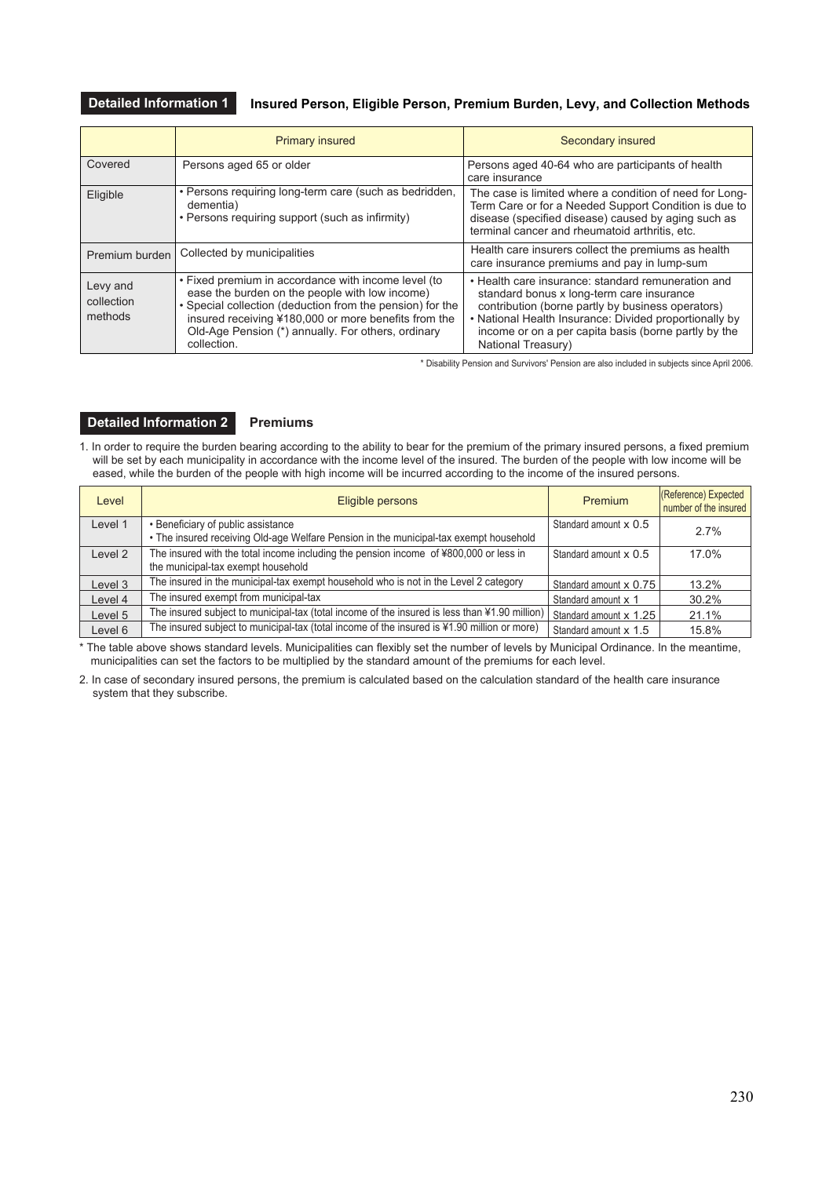## **Detailed Information 1 Insured Person, Eligible Person, Premium Burden, Levy, and Collection Methods**

|                                   | <b>Primary insured</b>                                                                                                                                                                                                                                                                          | Secondary insured                                                                                                                                                                                                                                                                            |  |  |  |  |
|-----------------------------------|-------------------------------------------------------------------------------------------------------------------------------------------------------------------------------------------------------------------------------------------------------------------------------------------------|----------------------------------------------------------------------------------------------------------------------------------------------------------------------------------------------------------------------------------------------------------------------------------------------|--|--|--|--|
| Covered                           | Persons aged 65 or older                                                                                                                                                                                                                                                                        | Persons aged 40-64 who are participants of health<br>care insurance                                                                                                                                                                                                                          |  |  |  |  |
| Eligible                          | • Persons requiring long-term care (such as bedridden,<br>dementia)<br>• Persons requiring support (such as infirmity)                                                                                                                                                                          | The case is limited where a condition of need for Long-<br>Term Care or for a Needed Support Condition is due to<br>disease (specified disease) caused by aging such as<br>terminal cancer and rheumatoid arthritis, etc.                                                                    |  |  |  |  |
| Premium burden                    | Collected by municipalities                                                                                                                                                                                                                                                                     | Health care insurers collect the premiums as health<br>care insurance premiums and pay in lump-sum                                                                                                                                                                                           |  |  |  |  |
| Levy and<br>collection<br>methods | . Fixed premium in accordance with income level (to<br>ease the burden on the people with low income)<br>• Special collection (deduction from the pension) for the<br>insured receiving ¥180,000 or more benefits from the<br>Old-Age Pension (*) annually. For others, ordinary<br>collection. | • Health care insurance: standard remuneration and<br>standard bonus x long-term care insurance<br>contribution (borne partly by business operators)<br>• National Health Insurance: Divided proportionally by<br>income or on a per capita basis (borne partly by the<br>National Treasury) |  |  |  |  |

\* Disability Pension and Survivors' Pension are also included in subjects since April 2006.

## **Detailed Information 2 Premiums**

1. In order to require the burden bearing according to the ability to bear for the premium of the primary insured persons, a fixed premium will be set by each municipality in accordance with the income level of the insured. The burden of the people with low income will be eased, while the burden of the people with high income will be incurred according to the income of the insured persons.

| Level   | Eligible persons                                                                                                            | Premium                | (Reference) Expected<br>number of the insured |
|---------|-----------------------------------------------------------------------------------------------------------------------------|------------------------|-----------------------------------------------|
| Level 1 | • Beneficiary of public assistance<br>• The insured receiving Old-age Welfare Pension in the municipal-tax exempt household | Standard amount x 0.5  | 2.7%                                          |
| Level 2 | The insured with the total income including the pension income of ¥800,000 or less in<br>the municipal-tax exempt household | Standard amount x 0.5  | 17.0%                                         |
| Level 3 | The insured in the municipal-tax exempt household who is not in the Level 2 category                                        | Standard amount x 0.75 | 13.2%                                         |
| Level 4 | The insured exempt from municipal-tax                                                                                       | Standard amount x 1    | 30.2%                                         |
| Level 5 | The insured subject to municipal-tax (total income of the insured is less than ¥1.90 million)                               | Standard amount x 1.25 | 21.1%                                         |
| Level 6 | The insured subject to municipal-tax (total income of the insured is ¥1.90 million or more)                                 | Standard amount x 1.5  | 15.8%                                         |

\* The table above shows standard levels. Municipalities can flexibly set the number of levels by Municipal Ordinance. In the meantime, municipalities can set the factors to be multiplied by the standard amount of the premiums for each level.

2. In case of secondary insured persons, the premium is calculated based on the calculation standard of the health care insurance system that they subscribe.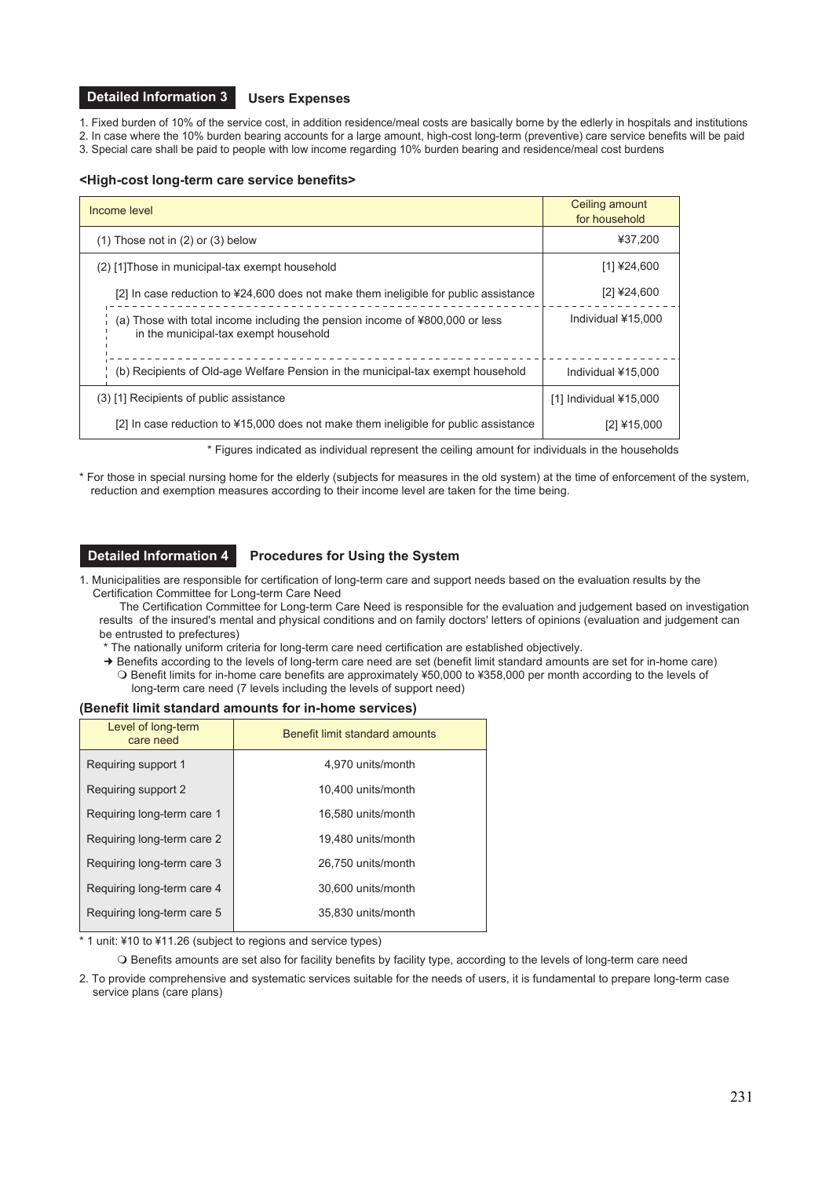#### **Users Expenses Detailed Information 3**

1. Fixed burden of 10% of the service cost, in addition residence/meal costs are basically borne by the edlerly in hospitals and institutions 2. In case where the 10% burden bearing accounts for a large amount, high-cost long-term (preventive) care service benefits will be paid

3. Special care shall be paid to people with low income regarding 10% burden bearing and residence/meal cost burdens

### **<High-cost long-term care service benefits>**

| Income level                                                                                                          | Ceiling amount<br>for household |
|-----------------------------------------------------------------------------------------------------------------------|---------------------------------|
| $(1)$ Those not in $(2)$ or $(3)$ below                                                                               | ¥37.200                         |
| (2) [1] Those in municipal-tax exempt household                                                                       | [1] ¥24,600                     |
| [2] In case reduction to $424,600$ does not make them ineligible for public assistance                                | $[2]$ ¥24,600                   |
| (a) Those with total income including the pension income of ¥800,000 or less<br>in the municipal-tax exempt household | Individual ¥15,000              |
| (b) Recipients of Old-age Welfare Pension in the municipal-tax exempt household                                       | Individual ¥15,000              |
| (3) [1] Recipients of public assistance                                                                               | $[1]$ Individual ¥15,000        |
| [2] In case reduction to ¥15,000 does not make them ineligible for public assistance                                  | [2] ¥15,000                     |

\* Figures indicated as individual represent the ceiling amount for individuals in the households

\* For those in special nursing home for the elderly (subjects for measures in the old system) at the time of enforcement of the system, reduction and exemption measures according to their income level are taken for the time being.

## **Detailed Information 4**

## **Procedures for Using the System**

- 1. Municipalities are responsible for certification of long-term care and support needs based on the evaluation results by the Certification Committee for Long-term Care Need
	- The Certification Committee for Long-term Care Need is responsible for the evaluation and judgement based on investigation results of the insured's mental and physical conditions and on family doctors' letters of opinions (evaluation and judgement can be entrusted to prefectures)
	- \* The nationally uniform criteria for long-term care need certification are established objectively.
	- ! Benefits according to the levels of long-term care need are set (benefit limit standard amounts are set for in-home care) O Benefit limits for in-home care benefits are approximately ¥50,000 to ¥358,000 per month according to the levels of long-term care need (7 levels including the levels of support need)

### **(Benefit limit standard amounts for in-home services)**

| Level of long-term<br>care need | Benefit limit standard amounts |
|---------------------------------|--------------------------------|
| Requiring support 1             | 4,970 units/month              |
| Requiring support 2             | 10.400 units/month             |
| Requiring long-term care 1      | 16.580 units/month             |
| Requiring long-term care 2      | 19,480 units/month             |
| Requiring long-term care 3      | 26,750 units/month             |
| Requiring long-term care 4      | 30.600 units/month             |
| Requiring long-term care 5      | 35.830 units/month             |

\* 1 unit: ¥10 to ¥11.26 (subject to regions and service types)

O Benefits amounts are set also for facility benefits by facility type, according to the levels of long-term care need

2. To provide comprehensive and systematic services suitable for the needs of users, it is fundamental to prepare long-term case service plans (care plans)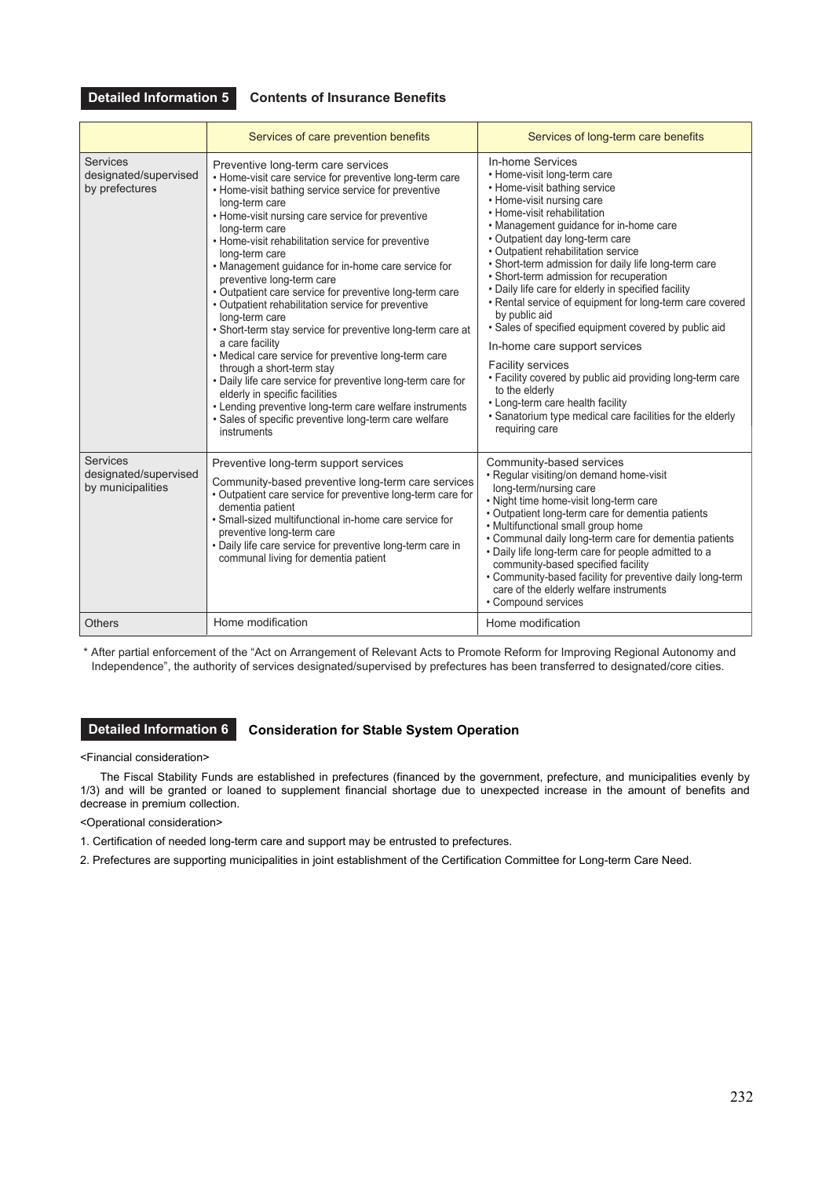**Detailed Information 5**

## **Contents of Insurance Benefits**

|                                                               | Services of care prevention benefits                                                                                                                                                                                                                                                                                                                                                                                                                                                                                                                                                                                                                                                                                                                                                                                                                                                                                                                 | Services of long-term care benefits                                                                                                                                                                                                                                                                                                                                                                                                                                                                                                                                                                                                                                                                                                                                                                                           |
|---------------------------------------------------------------|------------------------------------------------------------------------------------------------------------------------------------------------------------------------------------------------------------------------------------------------------------------------------------------------------------------------------------------------------------------------------------------------------------------------------------------------------------------------------------------------------------------------------------------------------------------------------------------------------------------------------------------------------------------------------------------------------------------------------------------------------------------------------------------------------------------------------------------------------------------------------------------------------------------------------------------------------|-------------------------------------------------------------------------------------------------------------------------------------------------------------------------------------------------------------------------------------------------------------------------------------------------------------------------------------------------------------------------------------------------------------------------------------------------------------------------------------------------------------------------------------------------------------------------------------------------------------------------------------------------------------------------------------------------------------------------------------------------------------------------------------------------------------------------------|
| <b>Services</b><br>designated/supervised<br>by prefectures    | Preventive long-term care services<br>• Home-visit care service for preventive long-term care<br>• Home-visit bathing service service for preventive<br>long-term care<br>• Home-visit nursing care service for preventive<br>long-term care<br>• Home-visit rehabilitation service for preventive<br>long-term care<br>• Management guidance for in-home care service for<br>preventive long-term care<br>• Outpatient care service for preventive long-term care<br>• Outpatient rehabilitation service for preventive<br>long-term care<br>• Short-term stay service for preventive long-term care at<br>a care facility<br>• Medical care service for preventive long-term care<br>through a short-term stay<br>· Daily life care service for preventive long-term care for<br>elderly in specific facilities<br>• Lending preventive long-term care welfare instruments<br>· Sales of specific preventive long-term care welfare<br>instruments | In-home Services<br>• Home-visit long-term care<br>• Home-visit bathing service<br>• Home-visit nursing care<br>• Home-visit rehabilitation<br>• Management guidance for in-home care<br>• Outpatient day long-term care<br>• Outpatient rehabilitation service<br>. Short-term admission for daily life long-term care<br>• Short-term admission for recuperation<br>• Daily life care for elderly in specified facility<br>• Rental service of equipment for long-term care covered<br>by public aid<br>• Sales of specified equipment covered by public aid<br>In-home care support services<br><b>Facility services</b><br>. Facility covered by public aid providing long-term care<br>to the elderly<br>• Long-term care health facility<br>• Sanatorium type medical care facilities for the elderly<br>requiring care |
| <b>Services</b><br>designated/supervised<br>by municipalities | Preventive long-term support services<br>Community-based preventive long-term care services<br>• Outpatient care service for preventive long-term care for<br>dementia patient<br>• Small-sized multifunctional in-home care service for<br>preventive long-term care<br>• Daily life care service for preventive long-term care in<br>communal living for dementia patient                                                                                                                                                                                                                                                                                                                                                                                                                                                                                                                                                                          | Community-based services<br>• Regular visiting/on demand home-visit<br>long-term/nursing care<br>• Night time home-visit long-term care<br>• Outpatient long-term care for dementia patients<br>• Multifunctional small group home<br>• Communal daily long-term care for dementia patients<br>• Daily life long-term care for people admitted to a<br>community-based specified facility<br>• Community-based facility for preventive daily long-term<br>care of the elderly welfare instruments<br>• Compound services                                                                                                                                                                                                                                                                                                      |
| <b>Others</b>                                                 | Home modification                                                                                                                                                                                                                                                                                                                                                                                                                                                                                                                                                                                                                                                                                                                                                                                                                                                                                                                                    | Home modification                                                                                                                                                                                                                                                                                                                                                                                                                                                                                                                                                                                                                                                                                                                                                                                                             |

\* After partial enforcement of the "Act on Arrangement of Relevant Acts to Promote Reform for Improving Regional Autonomy and Independence", the authority of services designated/supervised by prefectures has been transferred to designated/core cities.

## **Detailed Information 6 Consideration for Stable System Operation**

<Financial consideration>

The Fiscal Stability Funds are established in prefectures (financed by the government, prefecture, and municipalities evenly by 1/3) and will be granted or loaned to supplement financial shortage due to unexpected increase in the amount of benefits and decrease in premium collection.

### <Operational consideration>

1. Certification of needed long-term care and support may be entrusted to prefectures.

2. Prefectures are supporting municipalities in joint establishment of the Certification Committee for Long-term Care Need.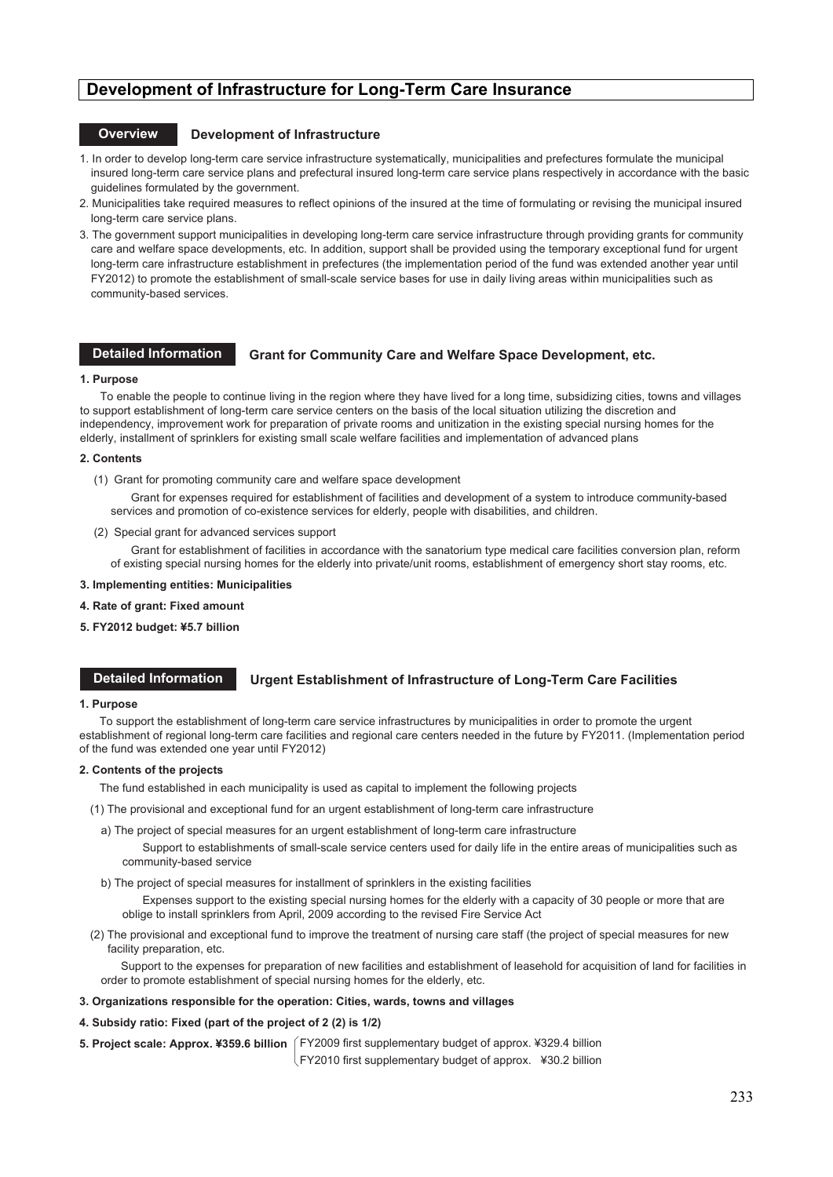## **Development of Infrastructure for Long-Term Care Insurance**

## **Overview Development of Infrastructure**

- 1. In order to develop long-term care service infrastructure systematically, municipalities and prefectures formulate the municipal insured long-term care service plans and prefectural insured long-term care service plans respectively in accordance with the basic guidelines formulated by the government.
- 2. Municipalities take required measures to reflect opinions of the insured at the time of formulating or revising the municipal insured long-term care service plans.
- 3. The government support municipalities in developing long-term care service infrastructure through providing grants for community care and welfare space developments, etc. In addition, support shall be provided using the temporary exceptional fund for urgent long-term care infrastructure establishment in prefectures (the implementation period of the fund was extended another year until FY2012) to promote the establishment of small-scale service bases for use in daily living areas within municipalities such as community-based services.

#### **Detailed Information**

### **Grant for Community Care and Welfare Space Development, etc.**

#### **1. Purpose**

To enable the people to continue living in the region where they have lived for a long time, subsidizing cities, towns and villages to support establishment of long-term care service centers on the basis of the local situation utilizing the discretion and independency, improvement work for preparation of private rooms and unitization in the existing special nursing homes for the elderly, installment of sprinklers for existing small scale welfare facilities and implementation of advanced plans

#### **2. Contents**

(1) Grant for promoting community care and welfare space development

Grant for expenses required for establishment of facilities and development of a system to introduce community-based services and promotion of co-existence services for elderly, people with disabilities, and children.

(2) Special grant for advanced services support

Grant for establishment of facilities in accordance with the sanatorium type medical care facilities conversion plan, reform of existing special nursing homes for the elderly into private/unit rooms, establishment of emergency short stay rooms, etc.

- **3. Implementing entities: Municipalities**
- **4. Rate of grant: Fixed amount**
- **5. FY2012 budget: ¥5.7 billion**

#### **Urgent Establishment of Infrastructure of Long-Term Care Facilities Detailed Information**

#### **1. Purpose**

To support the establishment of long-term care service infrastructures by municipalities in order to promote the urgent establishment of regional long-term care facilities and regional care centers needed in the future by FY2011. (Implementation period of the fund was extended one year until FY2012)

#### **2. Contents of the projects**

The fund established in each municipality is used as capital to implement the following projects

- (1) The provisional and exceptional fund for an urgent establishment of long-term care infrastructure
- a) The project of special measures for an urgent establishment of long-term care infrastructure
	- Support to establishments of small-scale service centers used for daily life in the entire areas of municipalities such as community-based service
- b) The project of special measures for installment of sprinklers in the existing facilities

Expenses support to the existing special nursing homes for the elderly with a capacity of 30 people or more that are oblige to install sprinklers from April, 2009 according to the revised Fire Service Act

(2) The provisional and exceptional fund to improve the treatment of nursing care staff (the project of special measures for new facility preparation, etc.

Support to the expenses for preparation of new facilities and establishment of leasehold for acquisition of land for facilities in order to promote establishment of special nursing homes for the elderly, etc.

**3. Organizations responsible for the operation: Cities, wards, towns and villages** 

#### **4. Subsidy ratio: Fixed (part of the project of 2 (2) is 1/2)**

**5. Project scale: Approx. ¥359.6 billion**  FY2009 first supplementary budget of approx. ¥329.4 billion

FY2010 first supplementary budget of approx.  $\angle$  430.2 billion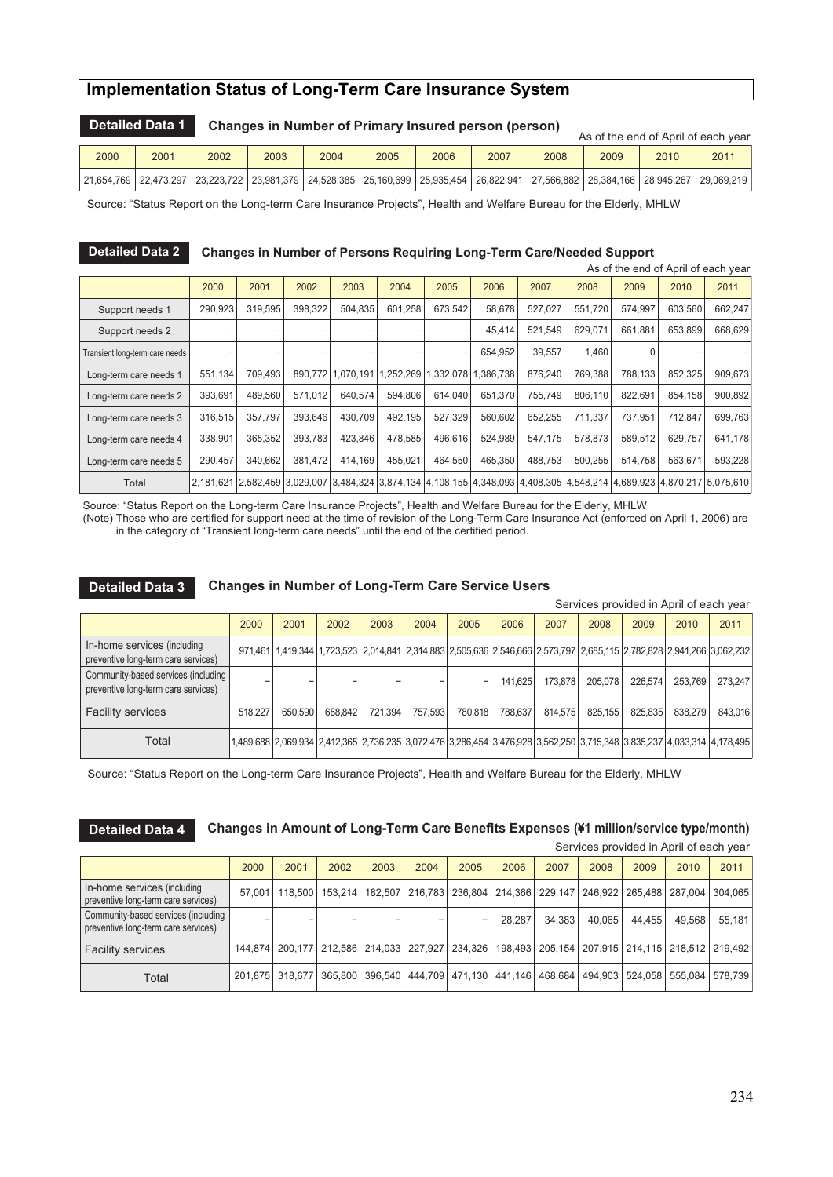## **Implementation Status of Long-Term Care Insurance System**

|      | <b>Detailed Data 1</b> |      | Changes in Number of Primary Insured person (person) | As of the end of April of each year |  |  |  |  |                                                                                                                                                                                                                                |  |      |
|------|------------------------|------|------------------------------------------------------|-------------------------------------|--|--|--|--|--------------------------------------------------------------------------------------------------------------------------------------------------------------------------------------------------------------------------------|--|------|
| 2000 | 2001                   | 2002 | 2005<br>2006<br>2003<br>2004<br>2007<br>2008<br>2009 |                                     |  |  |  |  |                                                                                                                                                                                                                                |  | 2011 |
|      |                        |      |                                                      |                                     |  |  |  |  | 29,009,219 . 27,452,65 . 28,945,267 . 28,947,379 . 29,100,099 . 27,460,699 . 27,568,27,941 . 27,566,882 . 28,384,166 . 28,945,267 . 29,069,219 . 27,566,882 . 28,384,166 . 28,945,267 . 29,069,219 . 28,945,267 . 29,069,219 . |  |      |

Source: "Status Report on the Long-term Care Insurance Projects", Health and Welfare Bureau for the Elderly, MHLW

## **Detailed Data 2 Changes in Number of Persons Requiring Long-Term Care/Needed Support**

|                                | As of the end of April of each year                                                  |         |         |                   |           |           |           |         |         |         |         |                                                                                                                                   |
|--------------------------------|--------------------------------------------------------------------------------------|---------|---------|-------------------|-----------|-----------|-----------|---------|---------|---------|---------|-----------------------------------------------------------------------------------------------------------------------------------|
|                                | 2000<br>2001<br>2002<br>2003<br>2004<br>2005<br>2006<br>2007<br>2009<br>2010<br>2008 |         |         |                   |           |           |           |         |         | 2011    |         |                                                                                                                                   |
| Support needs 1                | 290,923                                                                              | 319,595 | 398,322 | 504,835           | 601.258   | 673,542   | 58,678    | 527,027 | 551,720 | 574.997 | 603,560 | 662,247                                                                                                                           |
| Support needs 2                |                                                                                      |         |         | -                 |           |           | 45,414    | 521,549 | 629.071 | 661.881 | 653,899 | 668,629                                                                                                                           |
| Transient long-term care needs |                                                                                      |         |         | -                 |           |           | 654,952   | 39.557  | 1,460   |         |         |                                                                                                                                   |
| Long-term care needs 1         | 551,134                                                                              | 709.493 |         | 890.772 1.070.191 | 1,252,269 | 1.332.078 | 1.386.738 | 876.240 | 769.388 | 788.133 | 852,325 | 909,673                                                                                                                           |
| Long-term care needs 2         | 393,691                                                                              | 489,560 | 571.012 | 640,574           | 594.806   | 614.040   | 651,370   | 755.749 | 806,110 | 822.691 | 854,158 | 900,892                                                                                                                           |
| Long-term care needs 3         | 316,515                                                                              | 357.797 | 393.646 | 430,709           | 492.195   | 527.329   | 560.602   | 652.255 | 711.337 | 737.951 | 712.847 | 699,763                                                                                                                           |
| Long-term care needs 4         | 338,901                                                                              | 365,352 | 393,783 | 423,846           | 478.585   | 496,616   | 524,989   | 547.175 | 578,873 | 589.512 | 629,757 | 641,178                                                                                                                           |
| Long-term care needs 5         | 290,457                                                                              | 340,662 | 381,472 | 414,169           | 455.021   | 464,550   | 465,350   | 488,753 | 500.255 | 514.758 | 563,671 | 593,228                                                                                                                           |
| Total                          |                                                                                      |         |         |                   |           |           |           |         |         |         |         | 2,181,621 2,582,459 3,029,007 3,484,324 3,874,134 4,108,155 4,348,093 4,408,305 4,548,214 4,689,923 4,870,217 5,075,610 3,181,181 |

Source: "Status Report on the Long-term Care Insurance Projects", Health and Welfare Bureau for the Elderly, MHLW

(Note) Those who are certified for support need at the time of revision of the Long-Term Care Insurance Act (enforced on April 1, 2006) are in the category of "Transient long-term care needs" until the end of the certified period.

**Detailed Data 3 Changes in Number of Long-Term Care Service Users**

| Services provided in April of each year                                    |         |         |         |         |         |         |                                                                                                                         |         |         |         |         |         |
|----------------------------------------------------------------------------|---------|---------|---------|---------|---------|---------|-------------------------------------------------------------------------------------------------------------------------|---------|---------|---------|---------|---------|
|                                                                            | 2000    | 2001    | 2002    | 2003    | 2004    | 2005    | 2006                                                                                                                    | 2007    | 2008    | 2009    | 2010    | 2011    |
| In-home services (including<br>preventive long-term care services)         |         |         |         |         |         |         | 971,461 1,419,344 1,723,523 2,014,841 2,314,883 2,505,636 2,546,666 2,573,797 2,685,115 2,782,828 2,941,266 3,062,232   |         |         |         |         |         |
| Community-based services (including<br>preventive long-term care services) |         |         |         |         |         |         | 141.625                                                                                                                 | 173.878 | 205.078 | 226.574 | 253.769 | 273.247 |
| <b>Facility services</b>                                                   | 518.227 | 650.590 | 688.842 | 721.394 | 757.593 | 780.818 | 788.637                                                                                                                 | 814.575 | 825.155 | 825.835 | 838.279 | 843,016 |
| Total                                                                      |         |         |         |         |         |         | 1,489,688 2,069,934 2,412,365 2,736,235 3,072,476 3,286,454 3,476,928 3,562,250 3,715,348 3,835,237 4,033,314 4,178,495 |         |         |         |         |         |

Source: "Status Report on the Long-term Care Insurance Projects", Health and Welfare Bureau for the Elderly, MHLW

**Changes in Amount of Long-Term Care Benefits Expenses (¥1 million/service type/month) Detailed Data 4**

| Services provided in April of each year                                    |        |                 |                                                           |                 |                                                                     |      |        |        |        |                                                                     |         |         |
|----------------------------------------------------------------------------|--------|-----------------|-----------------------------------------------------------|-----------------|---------------------------------------------------------------------|------|--------|--------|--------|---------------------------------------------------------------------|---------|---------|
|                                                                            | 2000   | 2001            | 2002                                                      | 2003            | 2004                                                                | 2005 | 2006   | 2007   | 2008   | 2009                                                                | 2010    | 2011    |
| In-home services (including<br>preventive long-term care services)         | 57.001 | 118,500         |                                                           | 153.214 182.507 |                                                                     |      |        |        |        | 216,783   236,804   214,366   229,147   246,922   265,488   287,004 |         | 304.065 |
| Community-based services (including<br>preventive long-term care services) |        |                 | -                                                         |                 |                                                                     | -    | 28.287 | 34.383 | 40.065 | 44.455                                                              | 49.568  | 55.181  |
| <b>Facility services</b>                                                   |        |                 | 144,874   200,177   212,586   214,033   227,927   234,326 |                 |                                                                     |      |        |        |        | 198,493   205,154   207,915   214,115   218,512   219,492           |         |         |
| Total                                                                      |        | 201.875 318.677 |                                                           |                 | 365,800   396,540   444,709   471,130   441,146   468,684   494,903 |      |        |        |        | 524.058                                                             | 555.084 | 578.739 |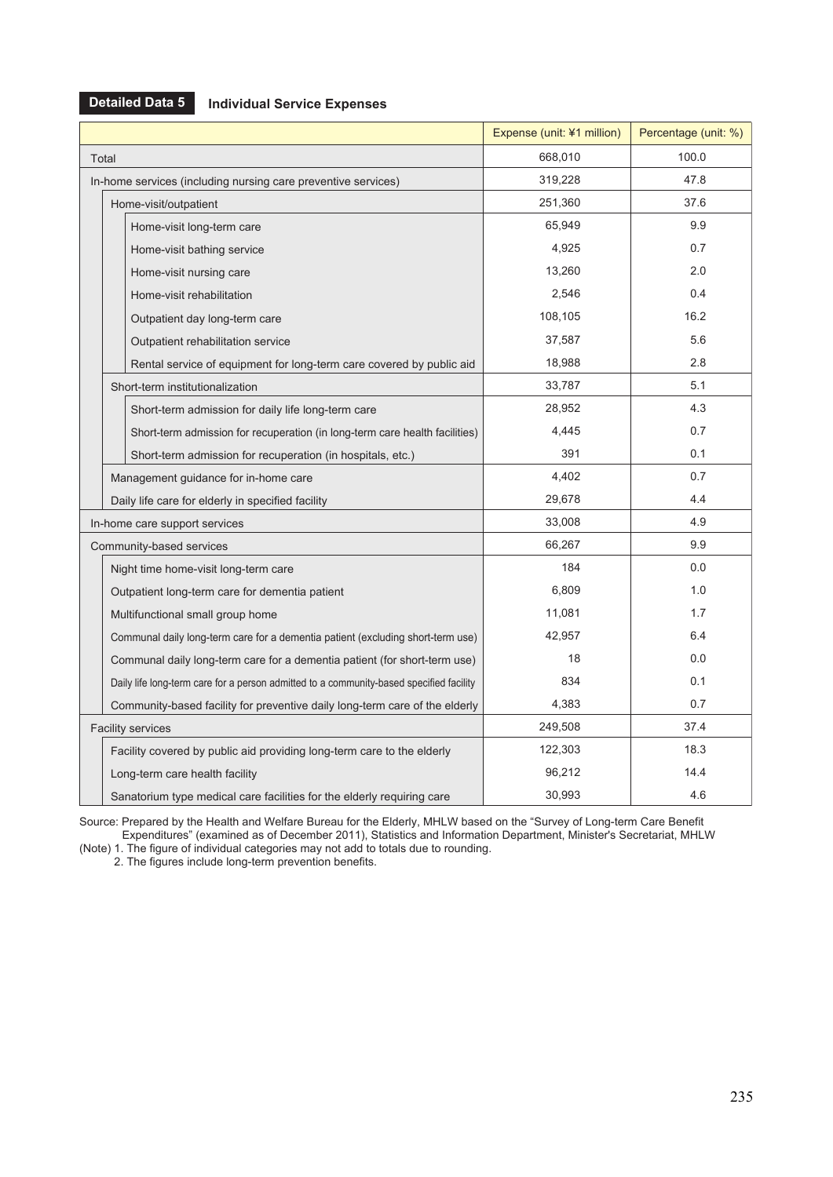## **Detailed Data 5**

## **Individual Service Expenses**

|       |                                                                                         | Expense (unit: ¥1 million) | Percentage (unit: %) |
|-------|-----------------------------------------------------------------------------------------|----------------------------|----------------------|
| Total |                                                                                         | 668,010                    | 100.0                |
|       | In-home services (including nursing care preventive services)                           | 319,228                    | 47.8                 |
|       | Home-visit/outpatient                                                                   | 251,360                    | 37.6                 |
|       | Home-visit long-term care                                                               | 65,949                     | 9.9                  |
|       | Home-visit bathing service                                                              | 4,925                      | 0.7                  |
|       | Home-visit nursing care                                                                 | 13,260                     | 2.0                  |
|       | Home-visit rehabilitation                                                               | 2.546                      | 0.4                  |
|       | Outpatient day long-term care                                                           | 108,105                    | 16.2                 |
|       | Outpatient rehabilitation service                                                       | 37,587                     | 5.6                  |
|       | Rental service of equipment for long-term care covered by public aid                    | 18,988                     | 2.8                  |
|       | Short-term institutionalization                                                         | 33,787                     | 5.1                  |
|       | Short-term admission for daily life long-term care                                      | 28,952                     | 4.3                  |
|       | Short-term admission for recuperation (in long-term care health facilities)             | 4,445                      | 0.7                  |
|       | Short-term admission for recuperation (in hospitals, etc.)                              | 391                        | 0.1                  |
|       | Management guidance for in-home care                                                    | 4,402                      | 0.7                  |
|       | Daily life care for elderly in specified facility                                       | 29,678                     | 4.4                  |
|       | In-home care support services                                                           | 33,008                     | 4.9                  |
|       | Community-based services                                                                | 66,267                     | 9.9                  |
|       | Night time home-visit long-term care                                                    | 184                        | 0.0                  |
|       | Outpatient long-term care for dementia patient                                          | 6,809                      | 1.0                  |
|       | Multifunctional small group home                                                        | 11,081                     | 1.7                  |
|       | Communal daily long-term care for a dementia patient (excluding short-term use)         | 42,957                     | 6.4                  |
|       | Communal daily long-term care for a dementia patient (for short-term use)               | 18                         | 0.0                  |
|       | Daily life long-term care for a person admitted to a community-based specified facility | 834                        | 0.1                  |
|       | Community-based facility for preventive daily long-term care of the elderly             | 4,383                      | 0.7                  |
|       | <b>Facility services</b>                                                                | 249,508                    | 37.4                 |
|       | Facility covered by public aid providing long-term care to the elderly                  | 122,303                    | 18.3                 |
|       | Long-term care health facility                                                          | 96,212                     | 14.4                 |
|       | Sanatorium type medical care facilities for the elderly requiring care                  | 30,993                     | 4.6                  |

Source: Prepared by the Health and Welfare Bureau for the Elderly, MHLW based on the "Survey of Long-term Care Benefit Expenditures" (examined as of December 2011), Statistics and Information Department, Minister's Secretariat, MHLW (Note) 1. The figure of individual categories may not add to totals due to rounding.

2. The figures include long-term prevention benefits.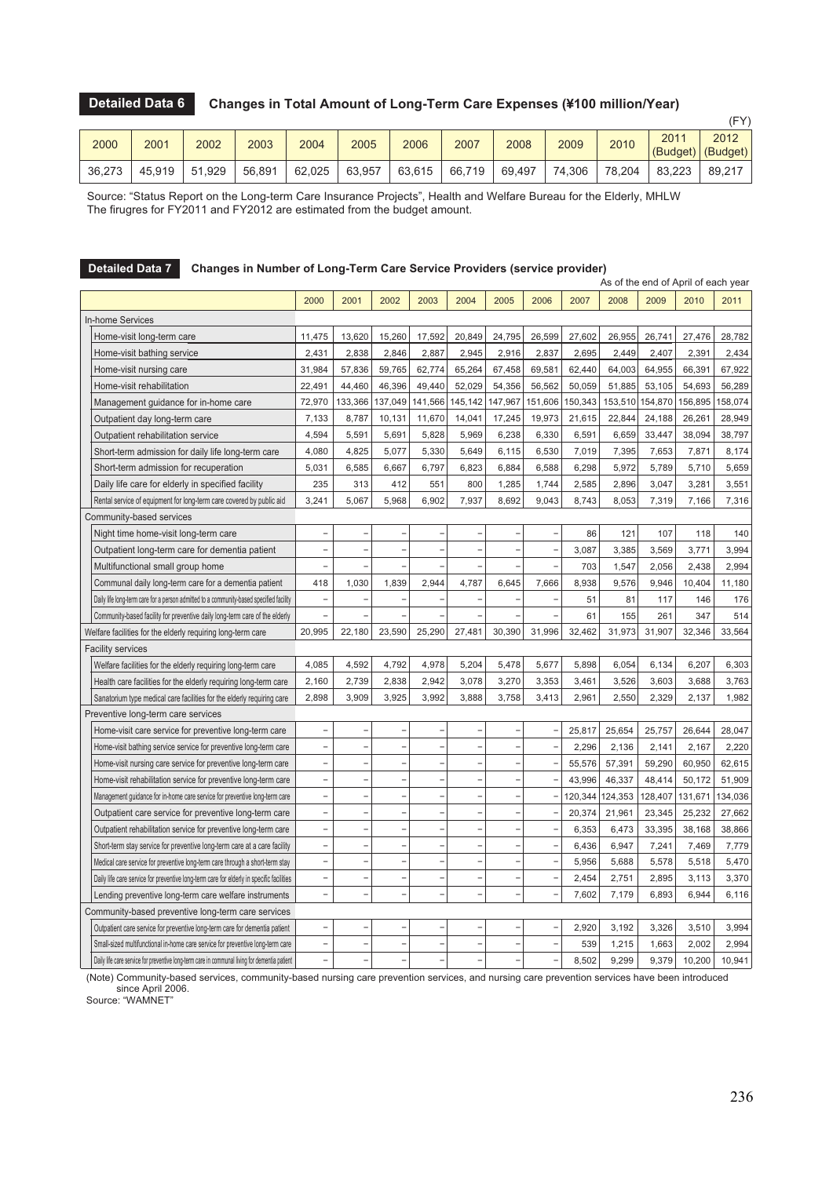#### **Changes in Total Amount of Long-Term Care Expenses (¥100 million/Year) Detailed Data 6**

|        |        |        |        |        |        |        |        |        |        |        |                  | (FY)             |
|--------|--------|--------|--------|--------|--------|--------|--------|--------|--------|--------|------------------|------------------|
| 2000   | 2001   | 2002   | 2003   | 2004   | 2005   | 2006   | 2007   | 2008   | 2009   | 2010   | 2011<br>(Budget) | 2012<br>(Budget) |
| 36,273 | 45.919 | 51,929 | 56,891 | 62,025 | 63,957 | 63,615 | 66,719 | 69,497 | 74,306 | 78,204 | 83.223           | 89,217           |

Source: "Status Report on the Long-term Care Insurance Projects", Health and Welfare Bureau for the Elderly, MHLW The firugres for FY2011 and FY2012 are estimated from the budget amount.

|                                                                                               |                          |                          |         |                          |                          | As of the end of April of each year |                          |         |         |         |         |         |  |
|-----------------------------------------------------------------------------------------------|--------------------------|--------------------------|---------|--------------------------|--------------------------|-------------------------------------|--------------------------|---------|---------|---------|---------|---------|--|
|                                                                                               | 2000                     | 2001                     | 2002    | 2003                     | 2004                     | 2005                                | 2006                     | 2007    | 2008    | 2009    | 2010    | 2011    |  |
| <b>In-home Services</b>                                                                       |                          |                          |         |                          |                          |                                     |                          |         |         |         |         |         |  |
| Home-visit long-term care                                                                     | 11,475                   | 13,620                   | 15,260  | 17,592                   | 20,849                   | 24,795                              | 26,599                   | 27,602  | 26,955  | 26,741  | 27,476  | 28,782  |  |
| Home-visit bathing service                                                                    | 2,431                    | 2,838                    | 2.846   | 2.887                    | 2,945                    | 2,916                               | 2,837                    | 2,695   | 2,449   | 2,407   | 2,391   | 2,434   |  |
| Home-visit nursing care                                                                       | 31,984                   | 57,836                   | 59,765  | 62,774                   | 65,264                   | 67,458                              | 69,581                   | 62,440  | 64,003  | 64,955  | 66,391  | 67,922  |  |
| Home-visit rehabilitation                                                                     | 22,491                   | 44,460                   | 46,396  | 49,440                   | 52,029                   | 54,356                              | 56,562                   | 50,059  | 51,885  | 53,105  | 54,693  | 56,289  |  |
| Management guidance for in-home care                                                          | 72,970                   | 133,366                  | 137,049 | 141,566                  | 145,142                  | 147,967                             | 151,606                  | 150,343 | 153,510 | 154,870 | 156,895 | 158,074 |  |
| Outpatient day long-term care                                                                 | 7,133                    | 8,787                    | 10,131  | 11,670                   | 14,041                   | 17,245                              | 19,973                   | 21,615  | 22,844  | 24,188  | 26,261  | 28,949  |  |
| Outpatient rehabilitation service                                                             | 4,594                    | 5,591                    | 5,691   | 5,828                    | 5,969                    | 6,238                               | 6,330                    | 6,591   | 6,659   | 33,447  | 38,094  | 38,797  |  |
| Short-term admission for daily life long-term care                                            | 4,080                    | 4,825                    | 5,077   | 5,330                    | 5,649                    | 6,115                               | 6,530                    | 7,019   | 7,395   | 7,653   | 7,871   | 8,174   |  |
| Short-term admission for recuperation                                                         | 5,031                    | 6,585                    | 6,667   | 6,797                    | 6,823                    | 6,884                               | 6,588                    | 6,298   | 5,972   | 5,789   | 5,710   | 5,659   |  |
| Daily life care for elderly in specified facility                                             | 235                      | 313                      | 412     | 551                      | 800                      | 1,285                               | 1,744                    | 2,585   | 2,896   | 3,047   | 3,281   | 3,551   |  |
| Rental service of equipment for long-term care covered by public aid                          | 3,241                    | 5,067                    | 5,968   | 6,902                    | 7,937                    | 8,692                               | 9,043                    | 8,743   | 8,053   | 7,319   | 7,166   | 7,316   |  |
| Community-based services                                                                      |                          |                          |         |                          |                          |                                     |                          |         |         |         |         |         |  |
| Night time home-visit long-term care                                                          | ÷,                       |                          |         |                          | ٠                        |                                     |                          | 86      | 121     | 107     | 118     | 140     |  |
| Outpatient long-term care for dementia patient                                                | $\overline{\phantom{a}}$ |                          | Ē,      | ÷,                       | ۰                        | ٠                                   | ۰                        | 3,087   | 3,385   | 3,569   | 3,771   | 3,994   |  |
| Multifunctional small group home                                                              | $\overline{\phantom{0}}$ |                          |         |                          |                          |                                     |                          | 703     | 1.547   | 2,056   | 2,438   | 2,994   |  |
| Communal daily long-term care for a dementia patient                                          | 418                      | 1,030                    | 1.839   | 2.944                    | 4.787                    | 6.645                               | 7,666                    | 8.938   | 9.576   | 9.946   | 10,404  | 11,180  |  |
| Daily life long-term care for a person admitted to a community-based specified facility       | $\qquad \qquad -$        |                          |         |                          |                          |                                     |                          | 51      | 81      | 117     | 146     | 176     |  |
| Community-based facility for preventive daily long-term care of the elderly                   | $\overline{\phantom{a}}$ |                          |         |                          |                          |                                     |                          | 61      | 155     | 261     | 347     | 514     |  |
| Welfare facilities for the elderly requiring long-term care                                   | 20,995                   | 22,180                   | 23,590  | 25,290                   | 27,481                   | 30,390                              | 31,996                   | 32,462  | 31,973  | 31,907  | 32,346  | 33,564  |  |
| <b>Facility services</b>                                                                      |                          |                          |         |                          |                          |                                     |                          |         |         |         |         |         |  |
| Welfare facilities for the elderly requiring long-term care                                   | 4,085                    | 4,592                    | 4,792   | 4,978                    | 5,204                    | 5,478                               | 5,677                    | 5,898   | 6,054   | 6,134   | 6,207   | 6,303   |  |
| Health care facilities for the elderly requiring long-term care                               | 2,160                    | 2,739                    | 2,838   | 2,942                    | 3,078                    | 3,270                               | 3,353                    | 3,461   | 3,526   | 3,603   | 3,688   | 3,763   |  |
| Sanatorium type medical care facilities for the elderly requiring care                        | 2,898                    | 3,909                    | 3,925   | 3,992                    | 3,888                    | 3,758                               | 3,413                    | 2,961   | 2,550   | 2,329   | 2,137   | 1,982   |  |
| Preventive long-term care services                                                            |                          |                          |         |                          |                          |                                     |                          |         |         |         |         |         |  |
| Home-visit care service for preventive long-term care                                         | $\overline{\phantom{a}}$ |                          | ÷       | $\overline{\phantom{a}}$ | $\overline{\phantom{a}}$ | ٠                                   |                          | 25,817  | 25,654  | 25,757  | 26,644  | 28,047  |  |
| Home-visit bathing service service for preventive long-term care                              | $\overline{a}$           |                          | Ē,      | ÷,                       | $\overline{\phantom{a}}$ |                                     |                          | 2,296   | 2,136   | 2,141   | 2,167   | 2,220   |  |
| Home-visit nursing care service for preventive long-term care                                 | $\overline{\phantom{a}}$ | $\overline{\phantom{a}}$ | Ē,      | $\overline{\phantom{a}}$ | $\overline{\phantom{a}}$ | ٠                                   | ۰                        | 55,576  | 57,391  | 59,290  | 60,950  | 62,615  |  |
| Home-visit rehabilitation service for preventive long-term care                               | $\bar{ }$                |                          | ÷       | ٠                        | ٠                        |                                     |                          | 43,996  | 46,337  | 48,414  | 50,172  | 51,909  |  |
| Management guidance for in-home care service for preventive long-term care                    | $\overline{\phantom{a}}$ |                          | Ē,      | ÷,                       | ÷                        |                                     |                          | 120,344 | 124,353 | 128,407 | 131,671 | 134,036 |  |
| Outpatient care service for preventive long-term care                                         | $\overline{\phantom{a}}$ |                          | ÷       | ÷                        | $\overline{\phantom{a}}$ |                                     |                          | 20.374  | 21,961  | 23.345  | 25.232  | 27.662  |  |
| Outpatient rehabilitation service for preventive long-term care                               | $\overline{\phantom{a}}$ | $\qquad \qquad -$        | ÷       | $\overline{\phantom{a}}$ | $\overline{\phantom{a}}$ | $\overline{\phantom{a}}$            | $\overline{\phantom{a}}$ | 6,353   | 6,473   | 33,395  | 38,168  | 38,866  |  |
| Short-term stay service for preventive long-term care at a care facility                      | $\overline{\phantom{a}}$ |                          | ÷       | ٠                        | $\overline{a}$           |                                     |                          | 6,436   | 6,947   | 7,241   | 7,469   | 7,779   |  |
| Medical care service for preventive long-term care through a short-term stay                  | $\overline{a}$           |                          | Ē,      | L,                       | L.                       |                                     |                          | 5,956   | 5,688   | 5,578   | 5,518   | 5,470   |  |
| Daily life care service for preventive long-term care for elderly in specific facilities      | $\overline{\phantom{0}}$ |                          |         | $\overline{\phantom{a}}$ | $\overline{\phantom{a}}$ |                                     |                          | 2,454   | 2,751   | 2,895   | 3,113   | 3,370   |  |
| Lending preventive long-term care welfare instruments                                         | $\bar{ }$                |                          | L,      | L,                       | L.                       | L.                                  |                          | 7,602   | 7,179   | 6,893   | 6,944   | 6,116   |  |
| Community-based preventive long-term care services                                            |                          |                          |         |                          |                          |                                     |                          |         |         |         |         |         |  |
| Outpatient care service for preventive long-term care for dementia patient                    | $\overline{\phantom{a}}$ |                          |         |                          |                          |                                     |                          | 2,920   | 3,192   | 3,326   | 3,510   | 3,994   |  |
| Small-sized multifunctional in-home care service for preventive long-term care                | $\overline{\phantom{m}}$ |                          |         | $\overline{\phantom{0}}$ | $\overline{\phantom{a}}$ |                                     |                          | 539     | 1,215   | 1,663   | 2,002   | 2,994   |  |
| Daily life care service for preventive long-term care in communal living for dementia patient | $\overline{a}$           |                          |         | L,                       |                          |                                     |                          | 8,502   | 9,299   | 9,379   | 10,200  | 10,941  |  |

## **Detailed Data 7 Changes in Number of Long-Term Care Service Providers (service provider)**

(Note) Community-based services, community-based nursing care prevention services, and nursing care prevention services have been introduced since April 2006.

Source: "WAMNET"